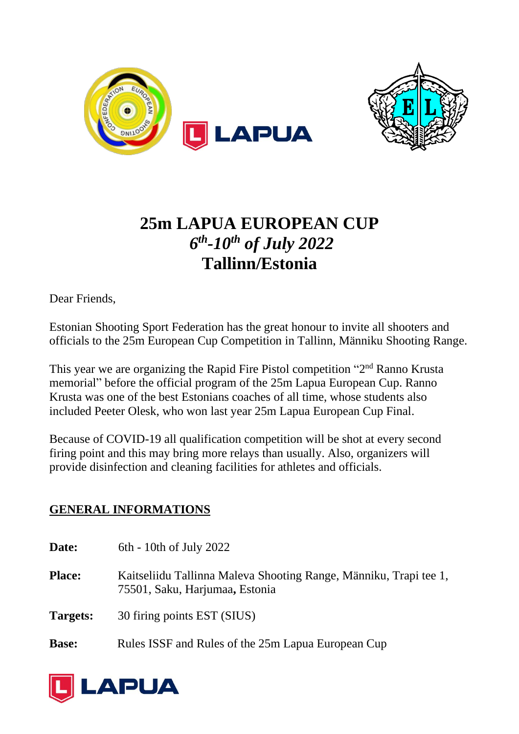



# **25m LAPUA EUROPEAN CUP** *6 th -10 th of July 2022* **Tallinn/Estonia**

Dear Friends,

Estonian Shooting Sport Federation has the great honour to invite all shooters and officials to the 25m European Cup Competition in Tallinn, Männiku Shooting Range.

This year we are organizing the Rapid Fire Pistol competition "2<sup>nd</sup> Ranno Krusta memorial" before the official program of the 25m Lapua European Cup. Ranno Krusta was one of the best Estonians coaches of all time, whose students also included Peeter Olesk, who won last year 25m Lapua European Cup Final.

Because of COVID-19 all qualification competition will be shot at every second firing point and this may bring more relays than usually. Also, organizers will provide disinfection and cleaning facilities for athletes and officials.

# **GENERAL INFORMATIONS**

| Date:         | $6th - 10th$ of July 2022                                                                           |
|---------------|-----------------------------------------------------------------------------------------------------|
| <b>Place:</b> | Kaitseliidu Tallinna Maleva Shooting Range, Männiku, Trapi tee 1,<br>75501, Saku, Harjumaa, Estonia |
| Targets:      | 30 firing points EST (SIUS)                                                                         |
| <b>Base:</b>  | Rules ISSF and Rules of the 25m Lapua European Cup                                                  |

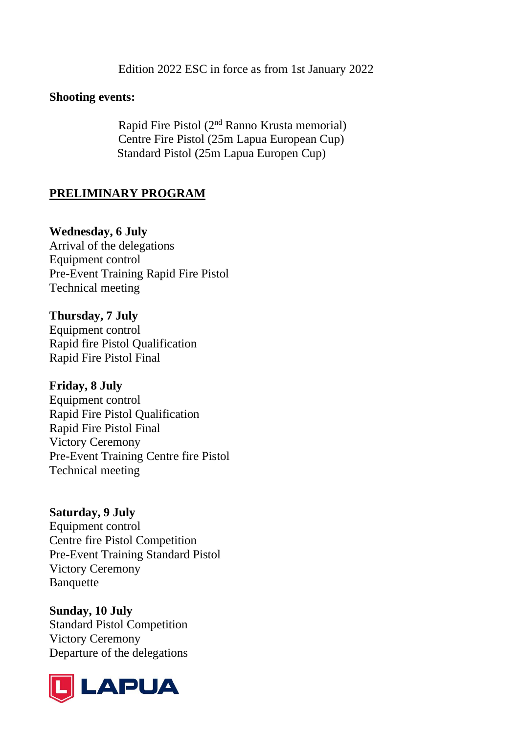Edition 2022 ESC in force as from 1st January 2022

#### **Shooting events:**

Rapid Fire Pistol (2<sup>nd</sup> Ranno Krusta memorial) Centre Fire Pistol (25m Lapua European Cup) Standard Pistol (25m Lapua Europen Cup)

## **PRELIMINARY PROGRAM**

#### **Wednesday, 6 July**

Arrival of the delegations Equipment control Pre-Event Training Rapid Fire Pistol Technical meeting

#### **Thursday, 7 July**

Equipment control Rapid fire Pistol Qualification Rapid Fire Pistol Final

#### **Friday, 8 July**

Equipment control Rapid Fire Pistol Qualification Rapid Fire Pistol Final Victory Ceremony Pre-Event Training Centre fire Pistol Technical meeting

**Saturday, 9 July** Equipment control Centre fire Pistol Competition Pre-Event Training Standard Pistol Victory Ceremony Banquette

**Sunday, 10 July** Standard Pistol Competition Victory Ceremony Departure of the delegations

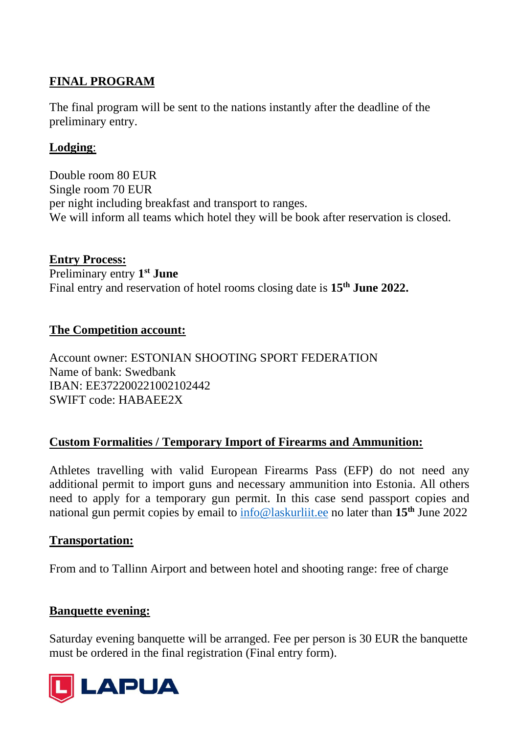# **FINAL PROGRAM**

The final program will be sent to the nations instantly after the deadline of the preliminary entry.

## **Lodging**:

Double room 80 EUR Single room 70 EUR per night including breakfast and transport to ranges. We will inform all teams which hotel they will be book after reservation is closed.

**Entry Process:** Preliminary entry **1 st June** Final entry and reservation of hotel rooms closing date is **15 th June 2022.**

## **The Competition account:**

Account owner: ESTONIAN SHOOTING SPORT FEDERATION Name of bank: Swedbank IBAN: EE372200221002102442 SWIFT code: HABAEE2X

# **Custom Formalities / Temporary Import of Firearms and Ammunition:**

Athletes travelling with valid European Firearms Pass (EFP) do not need any additional permit to import guns and necessary ammunition into Estonia. All others need to apply for a temporary gun permit. In this case send passport copies and national gun permit copies by email to [info@laskurliit.ee](mailto:info@laskurliit.ee) no later than **15th** June 2022

## **Transportation:**

From and to Tallinn Airport and between hotel and shooting range: free of charge

### **Banquette evening:**

Saturday evening banquette will be arranged. Fee per person is 30 EUR the banquette must be ordered in the final registration (Final entry form).